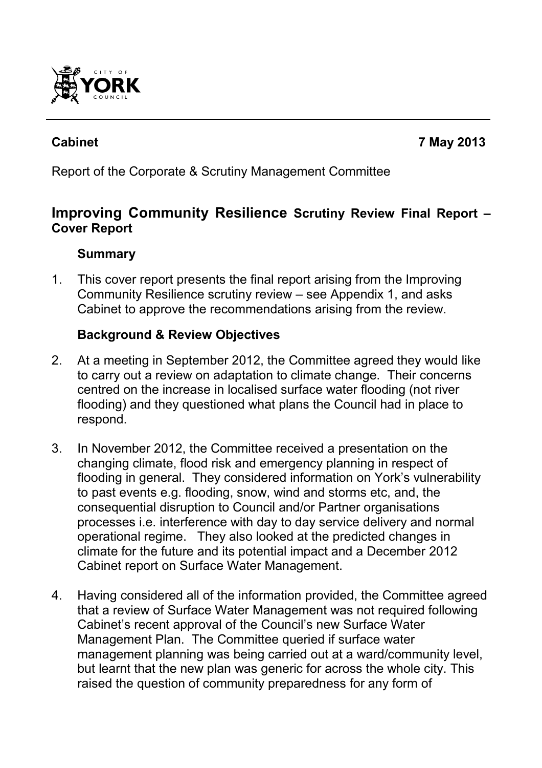

**Cabinet 7 May 2013**

Report of the Corporate & Scrutiny Management Committee

# **Improving Community Resilience Scrutiny Review Final Report – Cover Report**

## **Summary**

1. This cover report presents the final report arising from the Improving Community Resilience scrutiny review – see Appendix 1, and asks Cabinet to approve the recommendations arising from the review.

### **Background & Review Objectives**

- 2. At a meeting in September 2012, the Committee agreed they would like to carry out a review on adaptation to climate change. Their concerns centred on the increase in localised surface water flooding (not river flooding) and they questioned what plans the Council had in place to respond.
- 3. In November 2012, the Committee received a presentation on the changing climate, flood risk and emergency planning in respect of flooding in general. They considered information on York's vulnerability to past events e.g. flooding, snow, wind and storms etc, and, the consequential disruption to Council and/or Partner organisations processes i.e. interference with day to day service delivery and normal operational regime. They also looked at the predicted changes in climate for the future and its potential impact and a December 2012 Cabinet report on Surface Water Management.
- 4. Having considered all of the information provided, the Committee agreed that a review of Surface Water Management was not required following Cabinet's recent approval of the Council's new Surface Water Management Plan. The Committee queried if surface water management planning was being carried out at a ward/community level, but learnt that the new plan was generic for across the whole city. This raised the question of community preparedness for any form of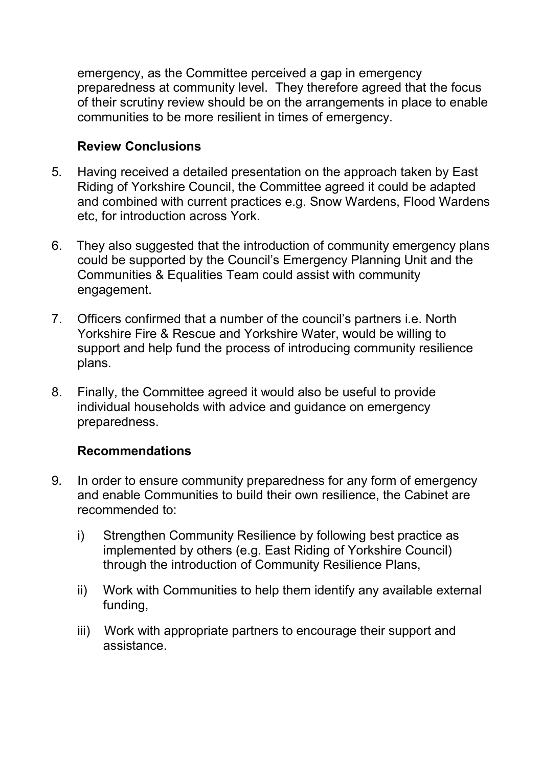emergency, as the Committee perceived a gap in emergency preparedness at community level. They therefore agreed that the focus of their scrutiny review should be on the arrangements in place to enable communities to be more resilient in times of emergency.

#### **Review Conclusions**

- 5*.* Having received a detailed presentation on the approach taken by East Riding of Yorkshire Council, the Committee agreed it could be adapted and combined with current practices e.g. Snow Wardens, Flood Wardens etc, for introduction across York.
- 6. They also suggested that the introduction of community emergency plans could be supported by the Council's Emergency Planning Unit and the Communities & Equalities Team could assist with community engagement.
- 7. Officers confirmed that a number of the council's partners i.e. North Yorkshire Fire & Rescue and Yorkshire Water, would be willing to support and help fund the process of introducing community resilience plans.
- 8. Finally, the Committee agreed it would also be useful to provide individual households with advice and guidance on emergency preparedness.

#### **Recommendations**

- 9*.* In order to ensure community preparedness for any form of emergency and enable Communities to build their own resilience, the Cabinet are recommended to:
	- i) Strengthen Community Resilience by following best practice as implemented by others (e.g. East Riding of Yorkshire Council) through the introduction of Community Resilience Plans,
	- ii) Work with Communities to help them identify any available external funding,
	- iii) Work with appropriate partners to encourage their support and assistance.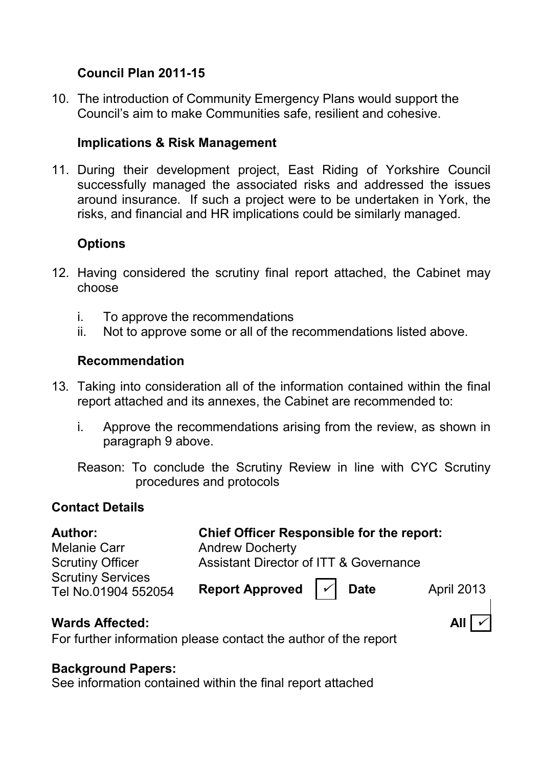## **Council Plan 2011-15**

10. The introduction of Community Emergency Plans would support the Council's aim to make Communities safe, resilient and cohesive.

## **Implications & Risk Management**

11. During their development project, East Riding of Yorkshire Council successfully managed the associated risks and addressed the issues around insurance. If such a project were to be undertaken in York, the risks, and financial and HR implications could be similarly managed.

## **Options**

- 12. Having considered the scrutiny final report attached, the Cabinet may choose
	- i. To approve the recommendations
	- ii. Not to approve some or all of the recommendations listed above.

#### **Recommendation**

- 13*.* Taking into consideration all of the information contained within the final report attached and its annexes, the Cabinet are recommended to:
	- i. Approve the recommendations arising from the review, as shown in paragraph 9 above.
	- Reason: To conclude the Scrutiny Review in line with CYC Scrutiny procedures and protocols

## **Contact Details**

| <b>Author:</b>                                  | <b>Chief Officer Responsible for the report:</b>  |  |                     |
|-------------------------------------------------|---------------------------------------------------|--|---------------------|
| <b>Melanie Carr</b>                             | <b>Andrew Docherty</b>                            |  |                     |
| <b>Scrutiny Officer</b>                         | <b>Assistant Director of ITT &amp; Governance</b> |  |                     |
| <b>Scrutiny Services</b><br>Tel No.01904 552054 | Report Approved $ \n\sqrt{\ }$ Date               |  | April 2013          |
| <b>Wards Affected:</b>                          |                                                   |  | All $\vert$ $\vert$ |

For further information please contact the author of the report

#### **Background Papers:**

See information contained within the final report attached